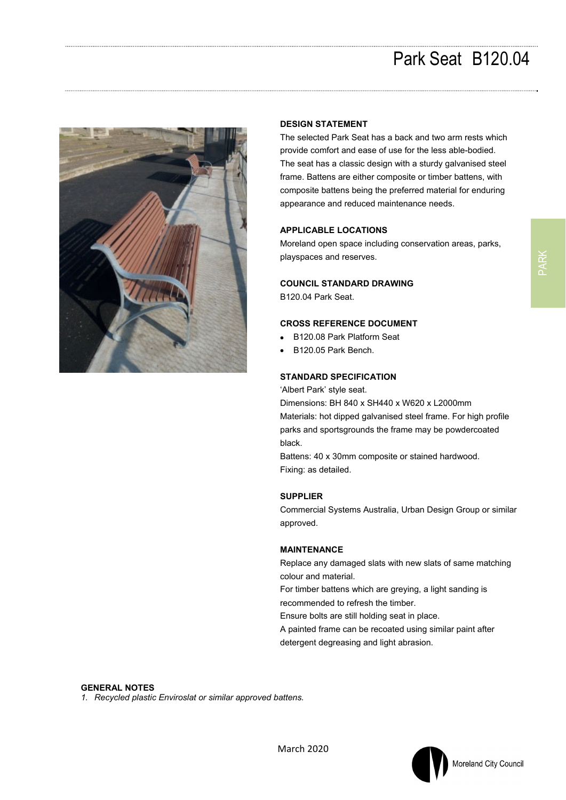## Park Seat B120.04



## **DESIGN STATEMENT**

The selected Park Seat has a back and two arm rests which provide comfort and ease of use for the less able-bodied. The seat has a classic design with a sturdy galvanised steel frame. Battens are either composite or timber battens, with composite battens being the preferred material for enduring appearance and reduced maintenance needs.

## **APPLICABLE LOCATIONS**

Moreland open space including conservation areas, parks, playspaces and reserves.

### **COUNCIL STANDARD DRAWING**

B120.04 Park Seat.

## **CROSS REFERENCE DOCUMENT**

- B120.08 Park Platform Seat
- B120.05 Park Bench.

## **STANDARD SPECIFICATION**

'Albert Park' style seat.

Dimensions: BH 840 x SH440 x W620 x L2000mm Materials: hot dipped galvanised steel frame. For high profile parks and sportsgrounds the frame may be powdercoated black.

Battens: 40 x 30mm composite or stained hardwood. Fixing: as detailed.

#### **SUPPLIER**

Commercial Systems Australia, Urban Design Group or similar approved.

#### **MAINTENANCE**

Replace any damaged slats with new slats of same matching colour and material.

For timber battens which are greying, a light sanding is recommended to refresh the timber.

Ensure bolts are still holding seat in place.

A painted frame can be recoated using similar paint after detergent degreasing and light abrasion.

#### **GENERAL NOTES**

*1. Recycled plastic Enviroslat or similar approved battens.*